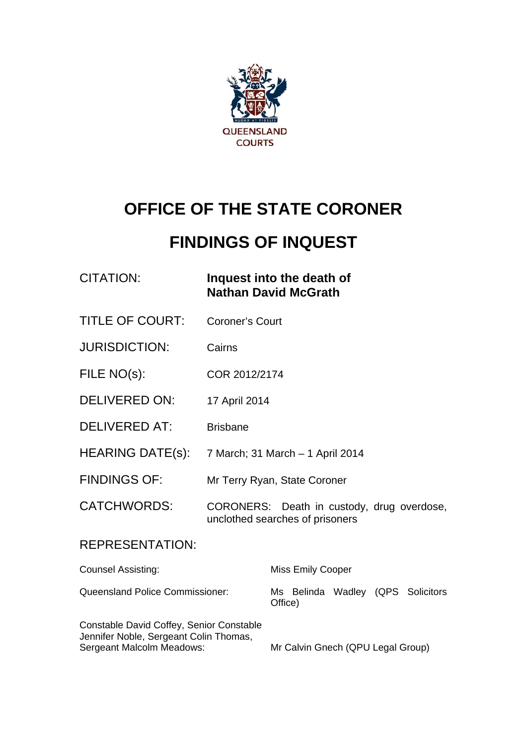

# **OFFICE OF THE STATE CORONER**

# **FINDINGS OF INQUEST**

| CITATION: | Inquest into the death of   |
|-----------|-----------------------------|
|           | <b>Nathan David McGrath</b> |

- TITLE OF COURT: Coroner's Court
- JURISDICTION: Cairns
- FILE NO(s): COR 2012/2174
- DELIVERED ON: 17 April 2014
- DELIVERED AT: Brisbane
- HEARING DATE(s): 7 March; 31 March 1 April 2014
- FINDINGS OF: Mr Terry Ryan, State Coroner
- CATCHWORDS: CORONERS: Death in custody, drug overdose, unclothed searches of prisoners

#### REPRESENTATION:

| <b>Counsel Assisting:</b>                                                                                       | <b>Miss Emily Cooper</b>                     |
|-----------------------------------------------------------------------------------------------------------------|----------------------------------------------|
| <b>Queensland Police Commissioner:</b>                                                                          | Ms Belinda Wadley (QPS Solicitors<br>Office) |
| Constable David Coffey, Senior Constable<br>Jennifer Noble, Sergeant Colin Thomas,<br>Sergeant Malcolm Meadows: | Mr Calvin Gnech (QPU Legal Group)            |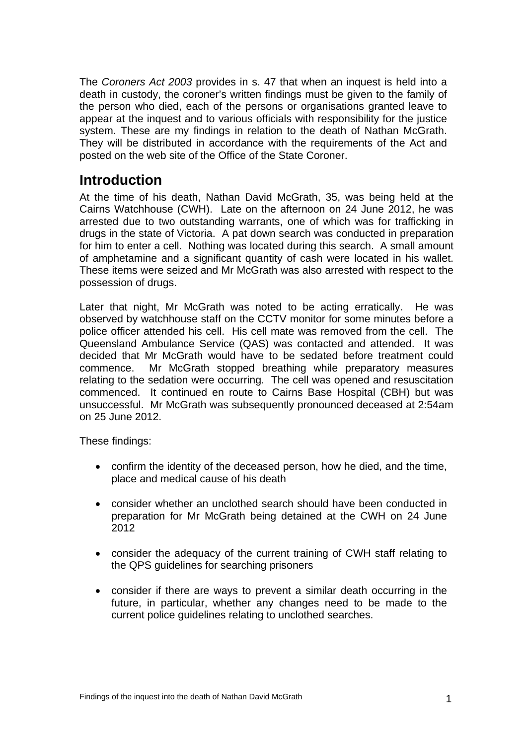The *Coroners Act 2003* provides in s. 47 that when an inquest is held into a death in custody, the coroner's written findings must be given to the family of the person who died, each of the persons or organisations granted leave to appear at the inquest and to various officials with responsibility for the justice system. These are my findings in relation to the death of Nathan McGrath. They will be distributed in accordance with the requirements of the Act and posted on the web site of the Office of the State Coroner.

### **Introduction**

At the time of his death, Nathan David McGrath, 35, was being held at the Cairns Watchhouse (CWH). Late on the afternoon on 24 June 2012, he was arrested due to two outstanding warrants, one of which was for trafficking in drugs in the state of Victoria. A pat down search was conducted in preparation for him to enter a cell. Nothing was located during this search. A small amount of amphetamine and a significant quantity of cash were located in his wallet. These items were seized and Mr McGrath was also arrested with respect to the possession of drugs.

Later that night, Mr McGrath was noted to be acting erratically. He was observed by watchhouse staff on the CCTV monitor for some minutes before a police officer attended his cell. His cell mate was removed from the cell. The Queensland Ambulance Service (QAS) was contacted and attended. It was decided that Mr McGrath would have to be sedated before treatment could commence. Mr McGrath stopped breathing while preparatory measures relating to the sedation were occurring. The cell was opened and resuscitation commenced. It continued en route to Cairns Base Hospital (CBH) but was unsuccessful. Mr McGrath was subsequently pronounced deceased at 2:54am on 25 June 2012.

These findings:

- confirm the identity of the deceased person, how he died, and the time, place and medical cause of his death
- consider whether an unclothed search should have been conducted in preparation for Mr McGrath being detained at the CWH on 24 June 2012
- consider the adequacy of the current training of CWH staff relating to the QPS guidelines for searching prisoners
- consider if there are ways to prevent a similar death occurring in the future, in particular, whether any changes need to be made to the current police guidelines relating to unclothed searches.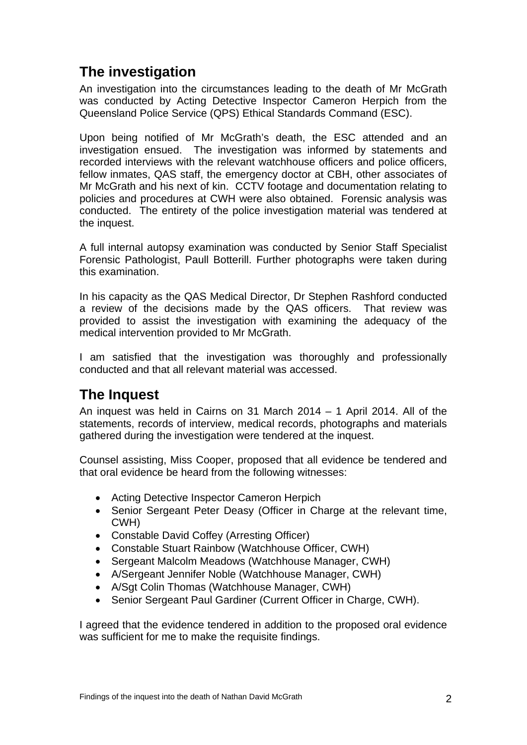## **The investigation**

An investigation into the circumstances leading to the death of Mr McGrath was conducted by Acting Detective Inspector Cameron Herpich from the Queensland Police Service (QPS) Ethical Standards Command (ESC).

Upon being notified of Mr McGrath's death, the ESC attended and an investigation ensued. The investigation was informed by statements and recorded interviews with the relevant watchhouse officers and police officers, fellow inmates, QAS staff, the emergency doctor at CBH, other associates of Mr McGrath and his next of kin. CCTV footage and documentation relating to policies and procedures at CWH were also obtained. Forensic analysis was conducted. The entirety of the police investigation material was tendered at the inquest.

A full internal autopsy examination was conducted by Senior Staff Specialist Forensic Pathologist, Paull Botterill. Further photographs were taken during this examination.

In his capacity as the QAS Medical Director, Dr Stephen Rashford conducted a review of the decisions made by the QAS officers. That review was provided to assist the investigation with examining the adequacy of the medical intervention provided to Mr McGrath.

I am satisfied that the investigation was thoroughly and professionally conducted and that all relevant material was accessed.

## **The Inquest**

An inquest was held in Cairns on 31 March 2014 – 1 April 2014. All of the statements, records of interview, medical records, photographs and materials gathered during the investigation were tendered at the inquest.

Counsel assisting, Miss Cooper, proposed that all evidence be tendered and that oral evidence be heard from the following witnesses:

- Acting Detective Inspector Cameron Herpich
- Senior Sergeant Peter Deasy (Officer in Charge at the relevant time, CWH)
- Constable David Coffey (Arresting Officer)
- Constable Stuart Rainbow (Watchhouse Officer, CWH)
- Sergeant Malcolm Meadows (Watchhouse Manager, CWH)
- A/Sergeant Jennifer Noble (Watchhouse Manager, CWH)
- A/Sgt Colin Thomas (Watchhouse Manager, CWH)
- Senior Sergeant Paul Gardiner (Current Officer in Charge, CWH).

I agreed that the evidence tendered in addition to the proposed oral evidence was sufficient for me to make the requisite findings.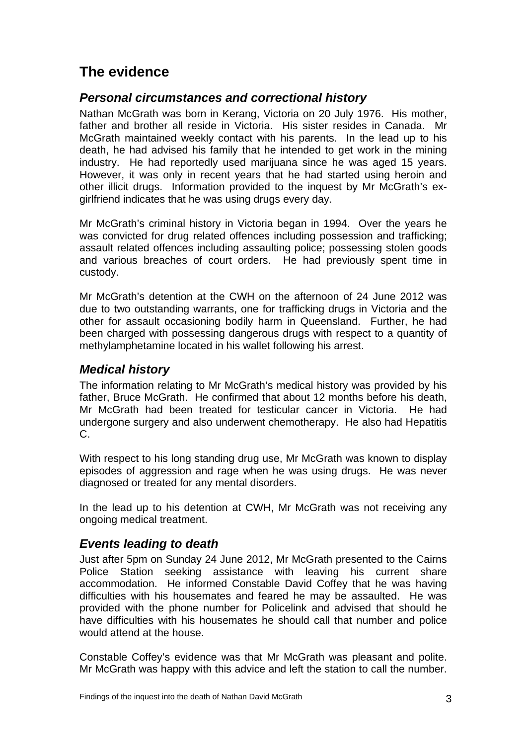## **The evidence**

#### *Personal circumstances and correctional history*

Nathan McGrath was born in Kerang, Victoria on 20 July 1976. His mother, father and brother all reside in Victoria. His sister resides in Canada. Mr McGrath maintained weekly contact with his parents. In the lead up to his death, he had advised his family that he intended to get work in the mining industry. He had reportedly used marijuana since he was aged 15 years. However, it was only in recent years that he had started using heroin and other illicit drugs. Information provided to the inquest by Mr McGrath's exgirlfriend indicates that he was using drugs every day.

Mr McGrath's criminal history in Victoria began in 1994. Over the years he was convicted for drug related offences including possession and trafficking; assault related offences including assaulting police; possessing stolen goods and various breaches of court orders. He had previously spent time in custody.

Mr McGrath's detention at the CWH on the afternoon of 24 June 2012 was due to two outstanding warrants, one for trafficking drugs in Victoria and the other for assault occasioning bodily harm in Queensland. Further, he had been charged with possessing dangerous drugs with respect to a quantity of methylamphetamine located in his wallet following his arrest.

#### *Medical history*

The information relating to Mr McGrath's medical history was provided by his father, Bruce McGrath. He confirmed that about 12 months before his death, Mr McGrath had been treated for testicular cancer in Victoria. He had undergone surgery and also underwent chemotherapy. He also had Hepatitis C.

With respect to his long standing drug use, Mr McGrath was known to display episodes of aggression and rage when he was using drugs. He was never diagnosed or treated for any mental disorders.

In the lead up to his detention at CWH, Mr McGrath was not receiving any ongoing medical treatment.

#### *Events leading to death*

Just after 5pm on Sunday 24 June 2012, Mr McGrath presented to the Cairns Police Station seeking assistance with leaving his current share accommodation. He informed Constable David Coffey that he was having difficulties with his housemates and feared he may be assaulted. He was provided with the phone number for Policelink and advised that should he have difficulties with his housemates he should call that number and police would attend at the house.

Constable Coffey's evidence was that Mr McGrath was pleasant and polite. Mr McGrath was happy with this advice and left the station to call the number.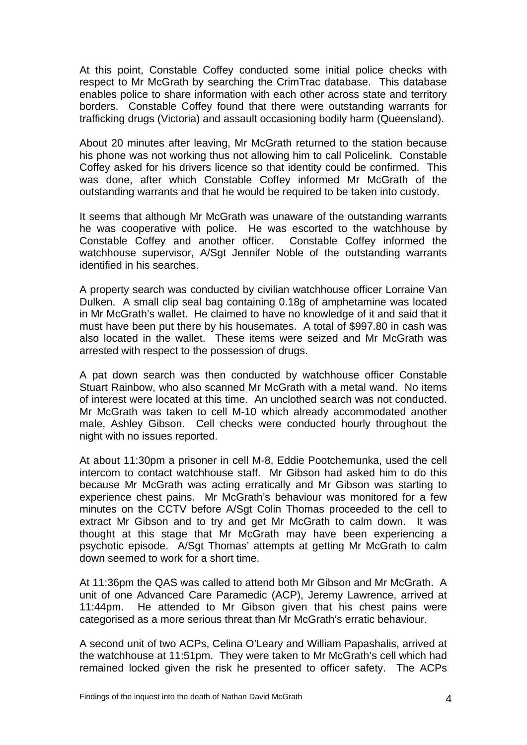At this point, Constable Coffey conducted some initial police checks with respect to Mr McGrath by searching the CrimTrac database. This database enables police to share information with each other across state and territory borders. Constable Coffey found that there were outstanding warrants for trafficking drugs (Victoria) and assault occasioning bodily harm (Queensland).

About 20 minutes after leaving, Mr McGrath returned to the station because his phone was not working thus not allowing him to call Policelink. Constable Coffey asked for his drivers licence so that identity could be confirmed. This was done, after which Constable Coffey informed Mr McGrath of the outstanding warrants and that he would be required to be taken into custody.

It seems that although Mr McGrath was unaware of the outstanding warrants he was cooperative with police. He was escorted to the watchhouse by Constable Coffey and another officer. Constable Coffey informed the watchhouse supervisor, A/Sgt Jennifer Noble of the outstanding warrants identified in his searches.

A property search was conducted by civilian watchhouse officer Lorraine Van Dulken. A small clip seal bag containing 0.18g of amphetamine was located in Mr McGrath's wallet. He claimed to have no knowledge of it and said that it must have been put there by his housemates. A total of \$997.80 in cash was also located in the wallet. These items were seized and Mr McGrath was arrested with respect to the possession of drugs.

A pat down search was then conducted by watchhouse officer Constable Stuart Rainbow, who also scanned Mr McGrath with a metal wand. No items of interest were located at this time. An unclothed search was not conducted. Mr McGrath was taken to cell M-10 which already accommodated another male, Ashley Gibson. Cell checks were conducted hourly throughout the night with no issues reported.

At about 11:30pm a prisoner in cell M-8, Eddie Pootchemunka, used the cell intercom to contact watchhouse staff. Mr Gibson had asked him to do this because Mr McGrath was acting erratically and Mr Gibson was starting to experience chest pains. Mr McGrath's behaviour was monitored for a few minutes on the CCTV before A/Sgt Colin Thomas proceeded to the cell to extract Mr Gibson and to try and get Mr McGrath to calm down. It was thought at this stage that Mr McGrath may have been experiencing a psychotic episode. A/Sgt Thomas' attempts at getting Mr McGrath to calm down seemed to work for a short time.

At 11:36pm the QAS was called to attend both Mr Gibson and Mr McGrath. A unit of one Advanced Care Paramedic (ACP), Jeremy Lawrence, arrived at 11:44pm. He attended to Mr Gibson given that his chest pains were categorised as a more serious threat than Mr McGrath's erratic behaviour.

A second unit of two ACPs, Celina O'Leary and William Papashalis, arrived at the watchhouse at 11:51pm. They were taken to Mr McGrath's cell which had remained locked given the risk he presented to officer safety. The ACPs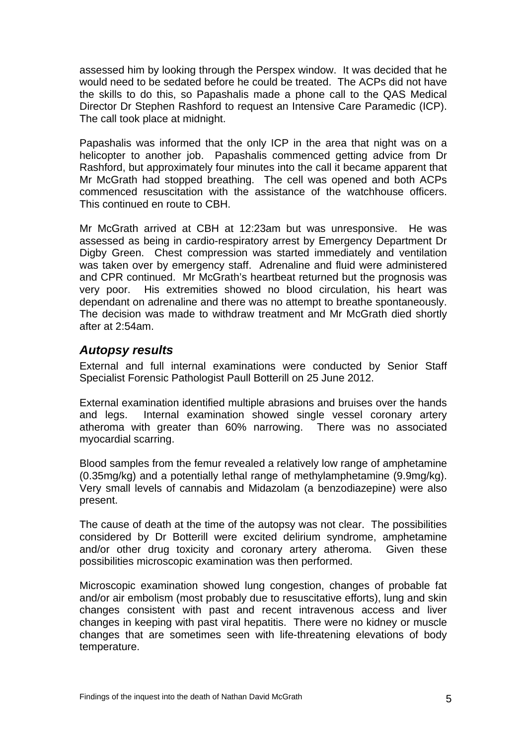assessed him by looking through the Perspex window. It was decided that he would need to be sedated before he could be treated. The ACPs did not have the skills to do this, so Papashalis made a phone call to the QAS Medical Director Dr Stephen Rashford to request an Intensive Care Paramedic (ICP). The call took place at midnight.

Papashalis was informed that the only ICP in the area that night was on a helicopter to another job. Papashalis commenced getting advice from Dr Rashford, but approximately four minutes into the call it became apparent that Mr McGrath had stopped breathing. The cell was opened and both ACPs commenced resuscitation with the assistance of the watchhouse officers. This continued en route to CBH.

Mr McGrath arrived at CBH at 12:23am but was unresponsive. He was assessed as being in cardio-respiratory arrest by Emergency Department Dr Digby Green. Chest compression was started immediately and ventilation was taken over by emergency staff. Adrenaline and fluid were administered and CPR continued. Mr McGrath's heartbeat returned but the prognosis was very poor. His extremities showed no blood circulation, his heart was dependant on adrenaline and there was no attempt to breathe spontaneously. The decision was made to withdraw treatment and Mr McGrath died shortly after at 2:54am.

#### *Autopsy results*

External and full internal examinations were conducted by Senior Staff Specialist Forensic Pathologist Paull Botterill on 25 June 2012.

External examination identified multiple abrasions and bruises over the hands and legs. Internal examination showed single vessel coronary artery atheroma with greater than 60% narrowing. There was no associated myocardial scarring.

Blood samples from the femur revealed a relatively low range of amphetamine (0.35mg/kg) and a potentially lethal range of methylamphetamine (9.9mg/kg). Very small levels of cannabis and Midazolam (a benzodiazepine) were also present.

The cause of death at the time of the autopsy was not clear. The possibilities considered by Dr Botterill were excited delirium syndrome, amphetamine and/or other drug toxicity and coronary artery atheroma. Given these possibilities microscopic examination was then performed.

Microscopic examination showed lung congestion, changes of probable fat and/or air embolism (most probably due to resuscitative efforts), lung and skin changes consistent with past and recent intravenous access and liver changes in keeping with past viral hepatitis. There were no kidney or muscle changes that are sometimes seen with life-threatening elevations of body temperature.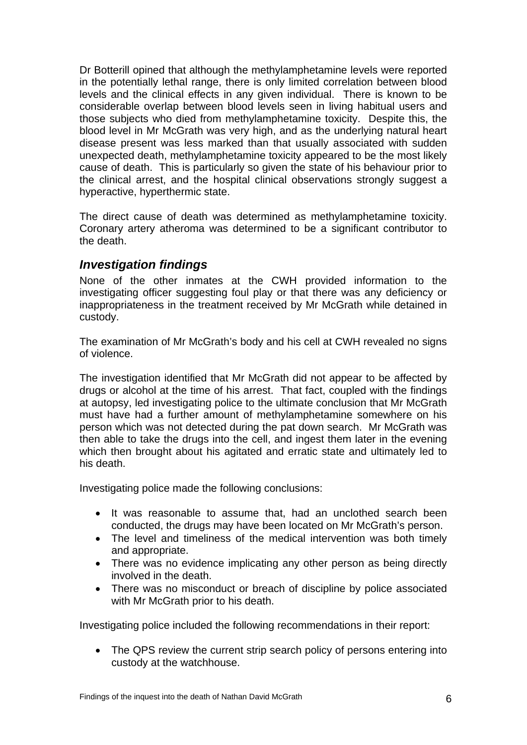Dr Botterill opined that although the methylamphetamine levels were reported in the potentially lethal range, there is only limited correlation between blood levels and the clinical effects in any given individual. There is known to be considerable overlap between blood levels seen in living habitual users and those subjects who died from methylamphetamine toxicity. Despite this, the blood level in Mr McGrath was very high, and as the underlying natural heart disease present was less marked than that usually associated with sudden unexpected death, methylamphetamine toxicity appeared to be the most likely cause of death. This is particularly so given the state of his behaviour prior to the clinical arrest, and the hospital clinical observations strongly suggest a hyperactive, hyperthermic state.

The direct cause of death was determined as methylamphetamine toxicity. Coronary artery atheroma was determined to be a significant contributor to the death.

#### *Investigation findings*

None of the other inmates at the CWH provided information to the investigating officer suggesting foul play or that there was any deficiency or inappropriateness in the treatment received by Mr McGrath while detained in custody.

The examination of Mr McGrath's body and his cell at CWH revealed no signs of violence.

The investigation identified that Mr McGrath did not appear to be affected by drugs or alcohol at the time of his arrest. That fact, coupled with the findings at autopsy, led investigating police to the ultimate conclusion that Mr McGrath must have had a further amount of methylamphetamine somewhere on his person which was not detected during the pat down search. Mr McGrath was then able to take the drugs into the cell, and ingest them later in the evening which then brought about his agitated and erratic state and ultimately led to his death.

Investigating police made the following conclusions:

- It was reasonable to assume that, had an unclothed search been conducted, the drugs may have been located on Mr McGrath's person.
- The level and timeliness of the medical intervention was both timely and appropriate.
- There was no evidence implicating any other person as being directly involved in the death.
- There was no misconduct or breach of discipline by police associated with Mr McGrath prior to his death.

Investigating police included the following recommendations in their report:

• The QPS review the current strip search policy of persons entering into custody at the watchhouse.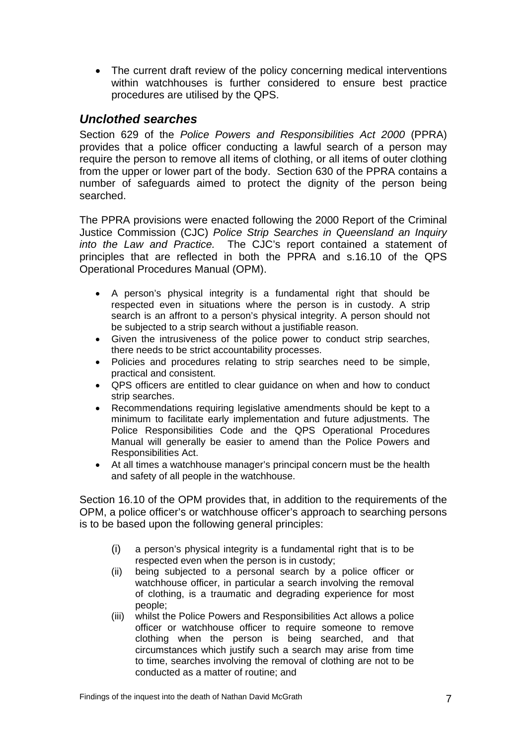• The current draft review of the policy concerning medical interventions within watchhouses is further considered to ensure best practice procedures are utilised by the QPS.

#### *Unclothed searches*

Section 629 of the *Police Powers and Responsibilities Act 2000* (PPRA) provides that a police officer conducting a lawful search of a person may require the person to remove all items of clothing, or all items of outer clothing from the upper or lower part of the body. Section 630 of the PPRA contains a number of safeguards aimed to protect the dignity of the person being searched.

The PPRA provisions were enacted following the 2000 Report of the Criminal Justice Commission (CJC) *Police Strip Searches in Queensland an Inquiry into the Law and Practice.* The CJC's report contained a statement of principles that are reflected in both the PPRA and s.16.10 of the QPS Operational Procedures Manual (OPM).

- A person's physical integrity is a fundamental right that should be respected even in situations where the person is in custody. A strip search is an affront to a person's physical integrity. A person should not be subjected to a strip search without a justifiable reason.
- Given the intrusiveness of the police power to conduct strip searches, there needs to be strict accountability processes.
- Policies and procedures relating to strip searches need to be simple, practical and consistent.
- QPS officers are entitled to clear guidance on when and how to conduct strip searches.
- Recommendations requiring legislative amendments should be kept to a minimum to facilitate early implementation and future adjustments. The Police Responsibilities Code and the QPS Operational Procedures Manual will generally be easier to amend than the Police Powers and Responsibilities Act.
- At all times a watchhouse manager's principal concern must be the health and safety of all people in the watchhouse.

Section 16.10 of the OPM provides that, in addition to the requirements of the OPM, a police officer's or watchhouse officer's approach to searching persons is to be based upon the following general principles:

- (i) a person's physical integrity is a fundamental right that is to be respected even when the person is in custody;
- (ii) being subjected to a personal search by a police officer or watchhouse officer, in particular a search involving the removal of clothing, is a traumatic and degrading experience for most people;
- (iii) whilst the Police Powers and Responsibilities Act allows a police officer or watchhouse officer to require someone to remove clothing when the person is being searched, and that circumstances which justify such a search may arise from time to time, searches involving the removal of clothing are not to be conducted as a matter of routine; and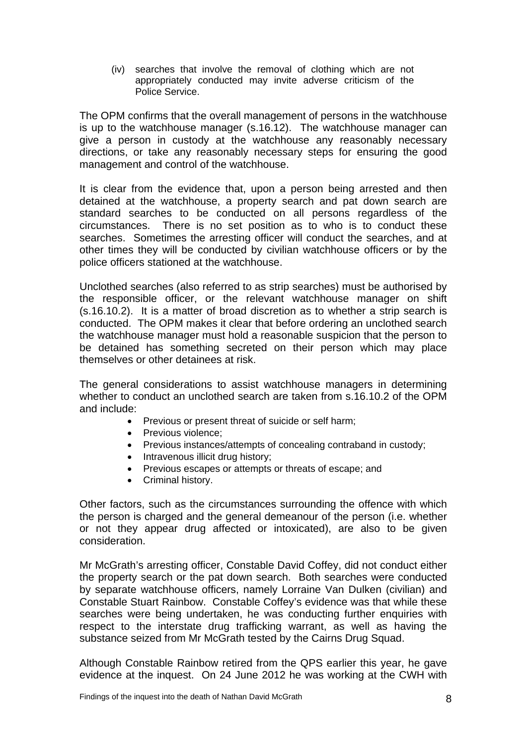(iv) searches that involve the removal of clothing which are not appropriately conducted may invite adverse criticism of the Police Service.

The OPM confirms that the overall management of persons in the watchhouse is up to the watchhouse manager (s.16.12). The watchhouse manager can give a person in custody at the watchhouse any reasonably necessary directions, or take any reasonably necessary steps for ensuring the good management and control of the watchhouse.

It is clear from the evidence that, upon a person being arrested and then detained at the watchhouse, a property search and pat down search are standard searches to be conducted on all persons regardless of the circumstances. There is no set position as to who is to conduct these searches. Sometimes the arresting officer will conduct the searches, and at other times they will be conducted by civilian watchhouse officers or by the police officers stationed at the watchhouse.

Unclothed searches (also referred to as strip searches) must be authorised by the responsible officer, or the relevant watchhouse manager on shift (s.16.10.2). It is a matter of broad discretion as to whether a strip search is conducted. The OPM makes it clear that before ordering an unclothed search the watchhouse manager must hold a reasonable suspicion that the person to be detained has something secreted on their person which may place themselves or other detainees at risk.

The general considerations to assist watchhouse managers in determining whether to conduct an unclothed search are taken from s.16.10.2 of the OPM and include:

- Previous or present threat of suicide or self harm;
- Previous violence:
- Previous instances/attempts of concealing contraband in custody;
- Intravenous illicit drug history:
- Previous escapes or attempts or threats of escape; and
- Criminal history.

Other factors, such as the circumstances surrounding the offence with which the person is charged and the general demeanour of the person (i.e. whether or not they appear drug affected or intoxicated), are also to be given consideration.

Mr McGrath's arresting officer, Constable David Coffey, did not conduct either the property search or the pat down search. Both searches were conducted by separate watchhouse officers, namely Lorraine Van Dulken (civilian) and Constable Stuart Rainbow. Constable Coffey's evidence was that while these searches were being undertaken, he was conducting further enquiries with respect to the interstate drug trafficking warrant, as well as having the substance seized from Mr McGrath tested by the Cairns Drug Squad.

Although Constable Rainbow retired from the QPS earlier this year, he gave evidence at the inquest. On 24 June 2012 he was working at the CWH with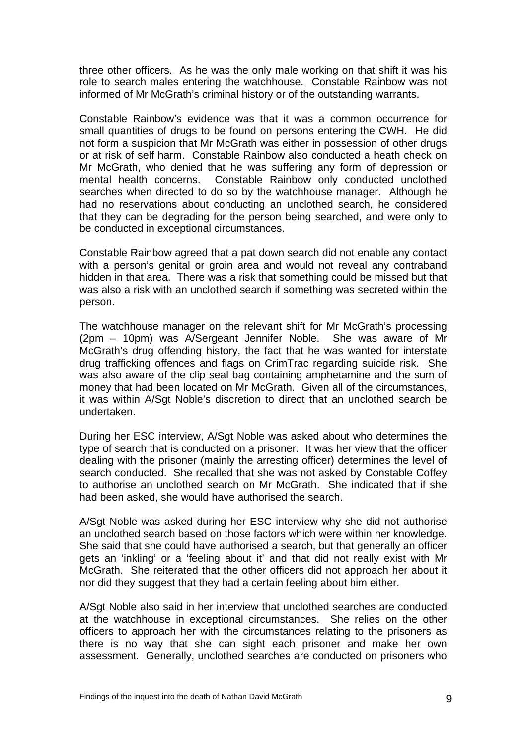three other officers. As he was the only male working on that shift it was his role to search males entering the watchhouse. Constable Rainbow was not informed of Mr McGrath's criminal history or of the outstanding warrants.

Constable Rainbow's evidence was that it was a common occurrence for small quantities of drugs to be found on persons entering the CWH. He did not form a suspicion that Mr McGrath was either in possession of other drugs or at risk of self harm. Constable Rainbow also conducted a heath check on Mr McGrath, who denied that he was suffering any form of depression or mental health concerns. Constable Rainbow only conducted unclothed searches when directed to do so by the watchhouse manager. Although he had no reservations about conducting an unclothed search, he considered that they can be degrading for the person being searched, and were only to be conducted in exceptional circumstances.

Constable Rainbow agreed that a pat down search did not enable any contact with a person's genital or groin area and would not reveal any contraband hidden in that area. There was a risk that something could be missed but that was also a risk with an unclothed search if something was secreted within the person.

The watchhouse manager on the relevant shift for Mr McGrath's processing (2pm – 10pm) was A/Sergeant Jennifer Noble. She was aware of Mr McGrath's drug offending history, the fact that he was wanted for interstate drug trafficking offences and flags on CrimTrac regarding suicide risk. She was also aware of the clip seal bag containing amphetamine and the sum of money that had been located on Mr McGrath. Given all of the circumstances, it was within A/Sgt Noble's discretion to direct that an unclothed search be undertaken.

During her ESC interview, A/Sgt Noble was asked about who determines the type of search that is conducted on a prisoner. It was her view that the officer dealing with the prisoner (mainly the arresting officer) determines the level of search conducted. She recalled that she was not asked by Constable Coffey to authorise an unclothed search on Mr McGrath. She indicated that if she had been asked, she would have authorised the search.

A/Sgt Noble was asked during her ESC interview why she did not authorise an unclothed search based on those factors which were within her knowledge. She said that she could have authorised a search, but that generally an officer gets an 'inkling' or a 'feeling about it' and that did not really exist with Mr McGrath. She reiterated that the other officers did not approach her about it nor did they suggest that they had a certain feeling about him either.

A/Sgt Noble also said in her interview that unclothed searches are conducted at the watchhouse in exceptional circumstances. She relies on the other officers to approach her with the circumstances relating to the prisoners as there is no way that she can sight each prisoner and make her own assessment. Generally, unclothed searches are conducted on prisoners who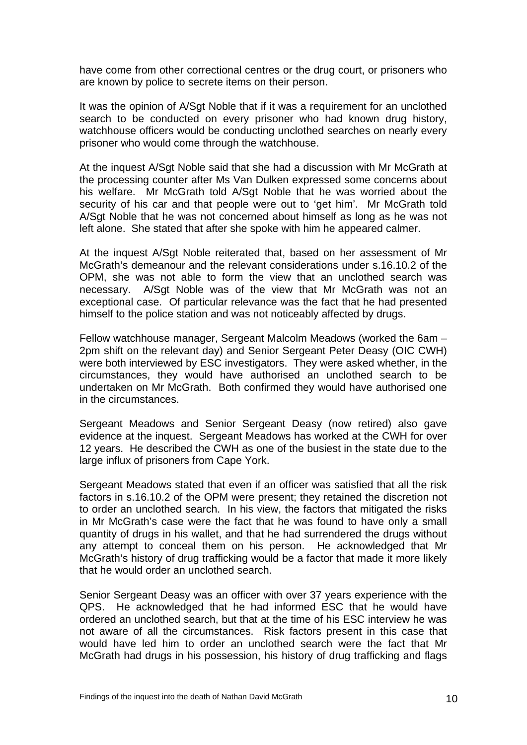have come from other correctional centres or the drug court, or prisoners who are known by police to secrete items on their person.

It was the opinion of A/Sgt Noble that if it was a requirement for an unclothed search to be conducted on every prisoner who had known drug history, watchhouse officers would be conducting unclothed searches on nearly every prisoner who would come through the watchhouse.

At the inquest A/Sgt Noble said that she had a discussion with Mr McGrath at the processing counter after Ms Van Dulken expressed some concerns about his welfare. Mr McGrath told A/Sgt Noble that he was worried about the security of his car and that people were out to 'get him'. Mr McGrath told A/Sgt Noble that he was not concerned about himself as long as he was not left alone. She stated that after she spoke with him he appeared calmer.

At the inquest A/Sgt Noble reiterated that, based on her assessment of Mr McGrath's demeanour and the relevant considerations under s.16.10.2 of the OPM, she was not able to form the view that an unclothed search was necessary. A/Sgt Noble was of the view that Mr McGrath was not an exceptional case. Of particular relevance was the fact that he had presented himself to the police station and was not noticeably affected by drugs.

Fellow watchhouse manager, Sergeant Malcolm Meadows (worked the 6am – 2pm shift on the relevant day) and Senior Sergeant Peter Deasy (OIC CWH) were both interviewed by ESC investigators. They were asked whether, in the circumstances, they would have authorised an unclothed search to be undertaken on Mr McGrath. Both confirmed they would have authorised one in the circumstances.

Sergeant Meadows and Senior Sergeant Deasy (now retired) also gave evidence at the inquest. Sergeant Meadows has worked at the CWH for over 12 years. He described the CWH as one of the busiest in the state due to the large influx of prisoners from Cape York.

Sergeant Meadows stated that even if an officer was satisfied that all the risk factors in s.16.10.2 of the OPM were present; they retained the discretion not to order an unclothed search. In his view, the factors that mitigated the risks in Mr McGrath's case were the fact that he was found to have only a small quantity of drugs in his wallet, and that he had surrendered the drugs without any attempt to conceal them on his person. He acknowledged that Mr McGrath's history of drug trafficking would be a factor that made it more likely that he would order an unclothed search.

Senior Sergeant Deasy was an officer with over 37 years experience with the QPS. He acknowledged that he had informed ESC that he would have ordered an unclothed search, but that at the time of his ESC interview he was not aware of all the circumstances. Risk factors present in this case that would have led him to order an unclothed search were the fact that Mr McGrath had drugs in his possession, his history of drug trafficking and flags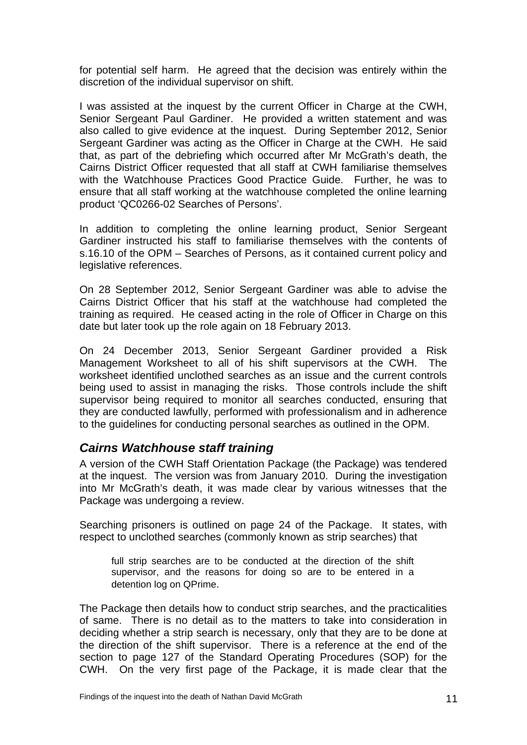for potential self harm. He agreed that the decision was entirely within the discretion of the individual supervisor on shift.

I was assisted at the inquest by the current Officer in Charge at the CWH, Senior Sergeant Paul Gardiner. He provided a written statement and was also called to give evidence at the inquest. During September 2012, Senior Sergeant Gardiner was acting as the Officer in Charge at the CWH. He said that, as part of the debriefing which occurred after Mr McGrath's death, the Cairns District Officer requested that all staff at CWH familiarise themselves with the Watchhouse Practices Good Practice Guide. Further, he was to ensure that all staff working at the watchhouse completed the online learning product 'QC0266-02 Searches of Persons'.

In addition to completing the online learning product, Senior Sergeant Gardiner instructed his staff to familiarise themselves with the contents of s.16.10 of the OPM – Searches of Persons, as it contained current policy and legislative references.

On 28 September 2012, Senior Sergeant Gardiner was able to advise the Cairns District Officer that his staff at the watchhouse had completed the training as required. He ceased acting in the role of Officer in Charge on this date but later took up the role again on 18 February 2013.

On 24 December 2013, Senior Sergeant Gardiner provided a Risk Management Worksheet to all of his shift supervisors at the CWH. The worksheet identified unclothed searches as an issue and the current controls being used to assist in managing the risks. Those controls include the shift supervisor being required to monitor all searches conducted, ensuring that they are conducted lawfully, performed with professionalism and in adherence to the guidelines for conducting personal searches as outlined in the OPM.

#### *Cairns Watchhouse staff training*

A version of the CWH Staff Orientation Package (the Package) was tendered at the inquest. The version was from January 2010. During the investigation into Mr McGrath's death, it was made clear by various witnesses that the Package was undergoing a review.

Searching prisoners is outlined on page 24 of the Package. It states, with respect to unclothed searches (commonly known as strip searches) that

full strip searches are to be conducted at the direction of the shift supervisor, and the reasons for doing so are to be entered in a detention log on QPrime.

The Package then details how to conduct strip searches, and the practicalities of same. There is no detail as to the matters to take into consideration in deciding whether a strip search is necessary, only that they are to be done at the direction of the shift supervisor. There is a reference at the end of the section to page 127 of the Standard Operating Procedures (SOP) for the CWH. On the very first page of the Package, it is made clear that the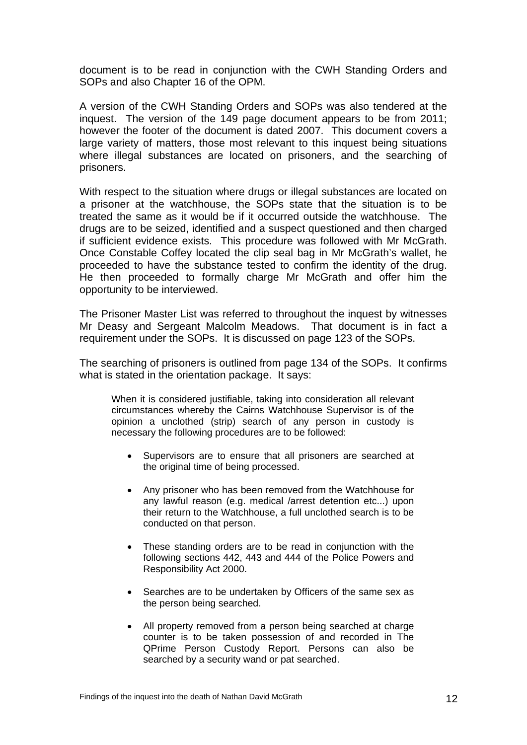document is to be read in conjunction with the CWH Standing Orders and SOPs and also Chapter 16 of the OPM.

A version of the CWH Standing Orders and SOPs was also tendered at the inquest. The version of the 149 page document appears to be from 2011; however the footer of the document is dated 2007. This document covers a large variety of matters, those most relevant to this inquest being situations where illegal substances are located on prisoners, and the searching of prisoners.

With respect to the situation where drugs or illegal substances are located on a prisoner at the watchhouse, the SOPs state that the situation is to be treated the same as it would be if it occurred outside the watchhouse. The drugs are to be seized, identified and a suspect questioned and then charged if sufficient evidence exists. This procedure was followed with Mr McGrath. Once Constable Coffey located the clip seal bag in Mr McGrath's wallet, he proceeded to have the substance tested to confirm the identity of the drug. He then proceeded to formally charge Mr McGrath and offer him the opportunity to be interviewed.

The Prisoner Master List was referred to throughout the inquest by witnesses Mr Deasy and Sergeant Malcolm Meadows. That document is in fact a requirement under the SOPs. It is discussed on page 123 of the SOPs.

The searching of prisoners is outlined from page 134 of the SOPs. It confirms what is stated in the orientation package. It says:

When it is considered justifiable, taking into consideration all relevant circumstances whereby the Cairns Watchhouse Supervisor is of the opinion a unclothed (strip) search of any person in custody is necessary the following procedures are to be followed:

- Supervisors are to ensure that all prisoners are searched at the original time of being processed.
- Any prisoner who has been removed from the Watchhouse for any lawful reason (e.g. medical /arrest detention etc...) upon their return to the Watchhouse, a full unclothed search is to be conducted on that person.
- These standing orders are to be read in conjunction with the following sections 442, 443 and 444 of the Police Powers and Responsibility Act 2000.
- Searches are to be undertaken by Officers of the same sex as the person being searched.
- All property removed from a person being searched at charge counter is to be taken possession of and recorded in The QPrime Person Custody Report. Persons can also be searched by a security wand or pat searched.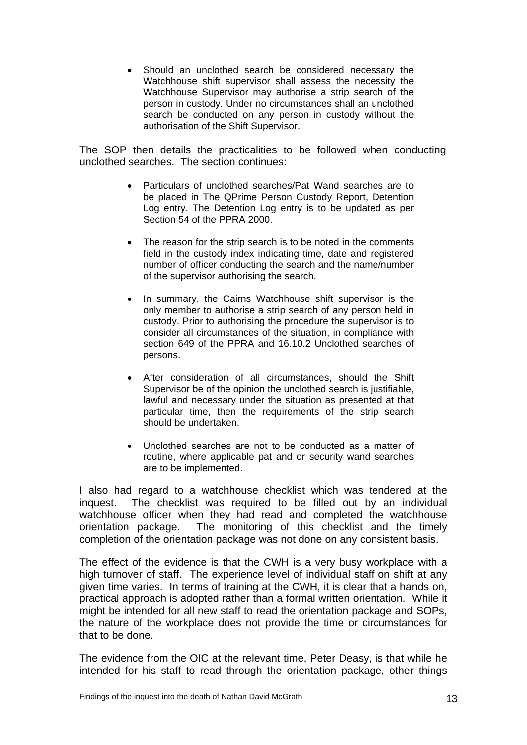Should an unclothed search be considered necessary the Watchhouse shift supervisor shall assess the necessity the Watchhouse Supervisor may authorise a strip search of the person in custody. Under no circumstances shall an unclothed search be conducted on any person in custody without the authorisation of the Shift Supervisor.

The SOP then details the practicalities to be followed when conducting unclothed searches. The section continues:

- Particulars of unclothed searches/Pat Wand searches are to be placed in The QPrime Person Custody Report, Detention Log entry. The Detention Log entry is to be updated as per Section 54 of the PPRA 2000.
- The reason for the strip search is to be noted in the comments field in the custody index indicating time, date and registered number of officer conducting the search and the name/number of the supervisor authorising the search.
- In summary, the Cairns Watchhouse shift supervisor is the only member to authorise a strip search of any person held in custody. Prior to authorising the procedure the supervisor is to consider all circumstances of the situation, in compliance with section 649 of the PPRA and 16.10.2 Unclothed searches of persons.
- After consideration of all circumstances, should the Shift Supervisor be of the opinion the unclothed search is justifiable, lawful and necessary under the situation as presented at that particular time, then the requirements of the strip search should be undertaken.
- Unclothed searches are not to be conducted as a matter of routine, where applicable pat and or security wand searches are to be implemented.

I also had regard to a watchhouse checklist which was tendered at the inquest. The checklist was required to be filled out by an individual watchhouse officer when they had read and completed the watchhouse orientation package. The monitoring of this checklist and the timely completion of the orientation package was not done on any consistent basis.

The effect of the evidence is that the CWH is a very busy workplace with a high turnover of staff. The experience level of individual staff on shift at any given time varies. In terms of training at the CWH, it is clear that a hands on, practical approach is adopted rather than a formal written orientation. While it might be intended for all new staff to read the orientation package and SOPs, the nature of the workplace does not provide the time or circumstances for that to be done.

The evidence from the OIC at the relevant time, Peter Deasy, is that while he intended for his staff to read through the orientation package, other things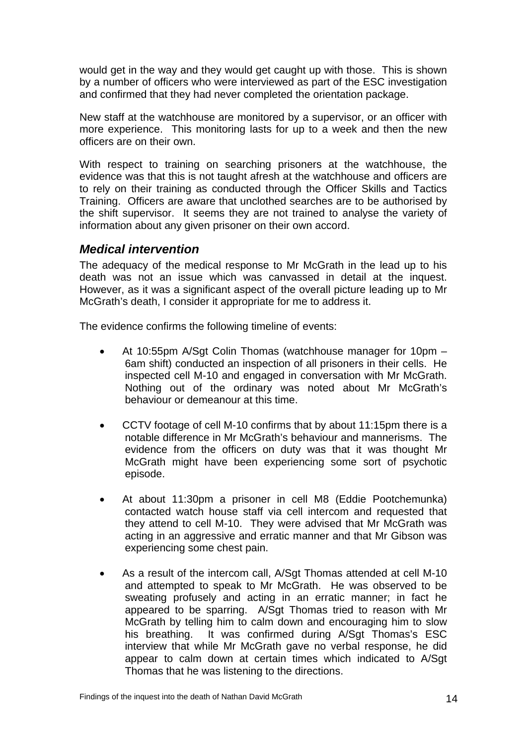would get in the way and they would get caught up with those. This is shown by a number of officers who were interviewed as part of the ESC investigation and confirmed that they had never completed the orientation package.

New staff at the watchhouse are monitored by a supervisor, or an officer with more experience. This monitoring lasts for up to a week and then the new officers are on their own.

With respect to training on searching prisoners at the watchhouse, the evidence was that this is not taught afresh at the watchhouse and officers are to rely on their training as conducted through the Officer Skills and Tactics Training. Officers are aware that unclothed searches are to be authorised by the shift supervisor. It seems they are not trained to analyse the variety of information about any given prisoner on their own accord.

#### *Medical intervention*

The adequacy of the medical response to Mr McGrath in the lead up to his death was not an issue which was canvassed in detail at the inquest. However, as it was a significant aspect of the overall picture leading up to Mr McGrath's death, I consider it appropriate for me to address it.

The evidence confirms the following timeline of events:

- At 10:55pm A/Sgt Colin Thomas (watchhouse manager for 10pm 6am shift) conducted an inspection of all prisoners in their cells. He inspected cell M-10 and engaged in conversation with Mr McGrath. Nothing out of the ordinary was noted about Mr McGrath's behaviour or demeanour at this time.
- CCTV footage of cell M-10 confirms that by about 11:15pm there is a notable difference in Mr McGrath's behaviour and mannerisms. The evidence from the officers on duty was that it was thought Mr McGrath might have been experiencing some sort of psychotic episode.
- At about 11:30pm a prisoner in cell M8 (Eddie Pootchemunka) contacted watch house staff via cell intercom and requested that they attend to cell M-10. They were advised that Mr McGrath was acting in an aggressive and erratic manner and that Mr Gibson was experiencing some chest pain.
- As a result of the intercom call, A/Sgt Thomas attended at cell M-10 and attempted to speak to Mr McGrath. He was observed to be sweating profusely and acting in an erratic manner; in fact he appeared to be sparring. A/Sgt Thomas tried to reason with Mr McGrath by telling him to calm down and encouraging him to slow his breathing. It was confirmed during A/Sgt Thomas's ESC interview that while Mr McGrath gave no verbal response, he did appear to calm down at certain times which indicated to A/Sgt Thomas that he was listening to the directions.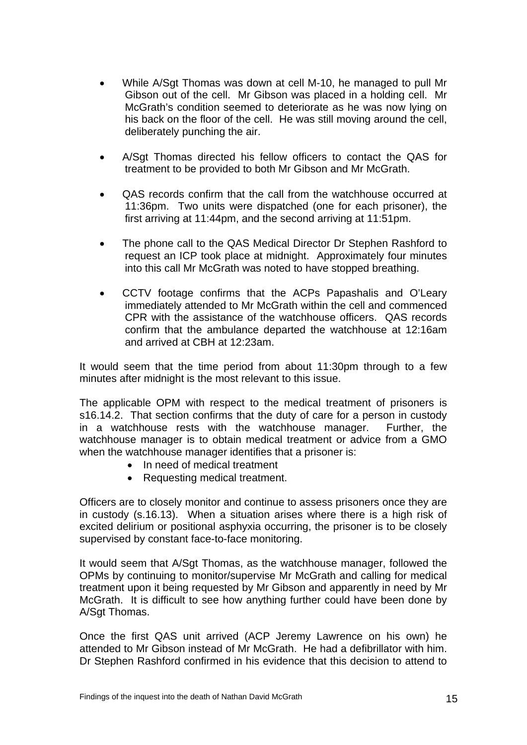- While A/Sgt Thomas was down at cell M-10, he managed to pull Mr Gibson out of the cell. Mr Gibson was placed in a holding cell. Mr McGrath's condition seemed to deteriorate as he was now lying on his back on the floor of the cell. He was still moving around the cell, deliberately punching the air.
- A/Sgt Thomas directed his fellow officers to contact the QAS for treatment to be provided to both Mr Gibson and Mr McGrath.
- QAS records confirm that the call from the watchhouse occurred at 11:36pm. Two units were dispatched (one for each prisoner), the first arriving at 11:44pm, and the second arriving at 11:51pm.
- The phone call to the QAS Medical Director Dr Stephen Rashford to request an ICP took place at midnight. Approximately four minutes into this call Mr McGrath was noted to have stopped breathing.
- CCTV footage confirms that the ACPs Papashalis and O'Leary immediately attended to Mr McGrath within the cell and commenced CPR with the assistance of the watchhouse officers. QAS records confirm that the ambulance departed the watchhouse at 12:16am and arrived at CBH at 12:23am.

It would seem that the time period from about 11:30pm through to a few minutes after midnight is the most relevant to this issue.

The applicable OPM with respect to the medical treatment of prisoners is s16.14.2. That section confirms that the duty of care for a person in custody in a watchhouse rests with the watchhouse manager. Further, the watchhouse manager is to obtain medical treatment or advice from a GMO when the watchhouse manager identifies that a prisoner is:

- In need of medical treatment
- Requesting medical treatment.

Officers are to closely monitor and continue to assess prisoners once they are in custody (s.16.13). When a situation arises where there is a high risk of excited delirium or positional asphyxia occurring, the prisoner is to be closely supervised by constant face-to-face monitoring.

It would seem that A/Sgt Thomas, as the watchhouse manager, followed the OPMs by continuing to monitor/supervise Mr McGrath and calling for medical treatment upon it being requested by Mr Gibson and apparently in need by Mr McGrath. It is difficult to see how anything further could have been done by A/Sgt Thomas.

Once the first QAS unit arrived (ACP Jeremy Lawrence on his own) he attended to Mr Gibson instead of Mr McGrath. He had a defibrillator with him. Dr Stephen Rashford confirmed in his evidence that this decision to attend to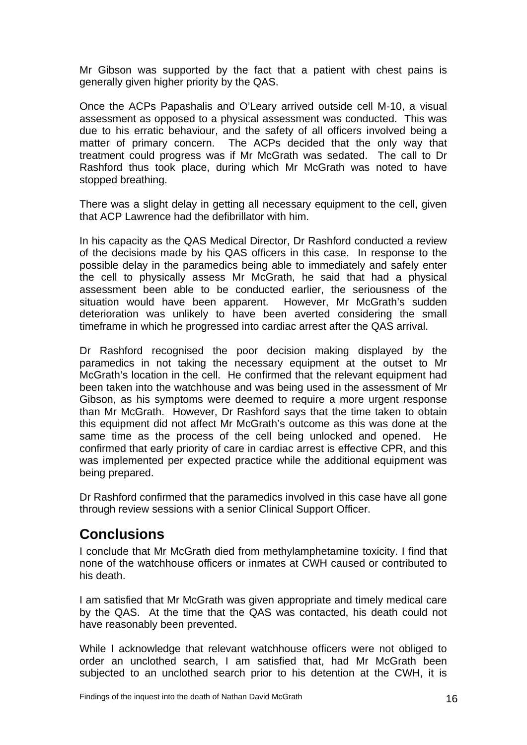Mr Gibson was supported by the fact that a patient with chest pains is generally given higher priority by the QAS.

Once the ACPs Papashalis and O'Leary arrived outside cell M-10, a visual assessment as opposed to a physical assessment was conducted. This was due to his erratic behaviour, and the safety of all officers involved being a matter of primary concern. The ACPs decided that the only way that treatment could progress was if Mr McGrath was sedated. The call to Dr Rashford thus took place, during which Mr McGrath was noted to have stopped breathing.

There was a slight delay in getting all necessary equipment to the cell, given that ACP Lawrence had the defibrillator with him.

In his capacity as the QAS Medical Director, Dr Rashford conducted a review of the decisions made by his QAS officers in this case. In response to the possible delay in the paramedics being able to immediately and safely enter the cell to physically assess Mr McGrath, he said that had a physical assessment been able to be conducted earlier, the seriousness of the situation would have been apparent. However, Mr McGrath's sudden deterioration was unlikely to have been averted considering the small timeframe in which he progressed into cardiac arrest after the QAS arrival.

Dr Rashford recognised the poor decision making displayed by the paramedics in not taking the necessary equipment at the outset to Mr McGrath's location in the cell. He confirmed that the relevant equipment had been taken into the watchhouse and was being used in the assessment of Mr Gibson, as his symptoms were deemed to require a more urgent response than Mr McGrath. However, Dr Rashford says that the time taken to obtain this equipment did not affect Mr McGrath's outcome as this was done at the same time as the process of the cell being unlocked and opened. He confirmed that early priority of care in cardiac arrest is effective CPR, and this was implemented per expected practice while the additional equipment was being prepared.

Dr Rashford confirmed that the paramedics involved in this case have all gone through review sessions with a senior Clinical Support Officer.

### **Conclusions**

I conclude that Mr McGrath died from methylamphetamine toxicity. I find that none of the watchhouse officers or inmates at CWH caused or contributed to his death.

I am satisfied that Mr McGrath was given appropriate and timely medical care by the QAS. At the time that the QAS was contacted, his death could not have reasonably been prevented.

While I acknowledge that relevant watchhouse officers were not obliged to order an unclothed search, I am satisfied that, had Mr McGrath been subjected to an unclothed search prior to his detention at the CWH, it is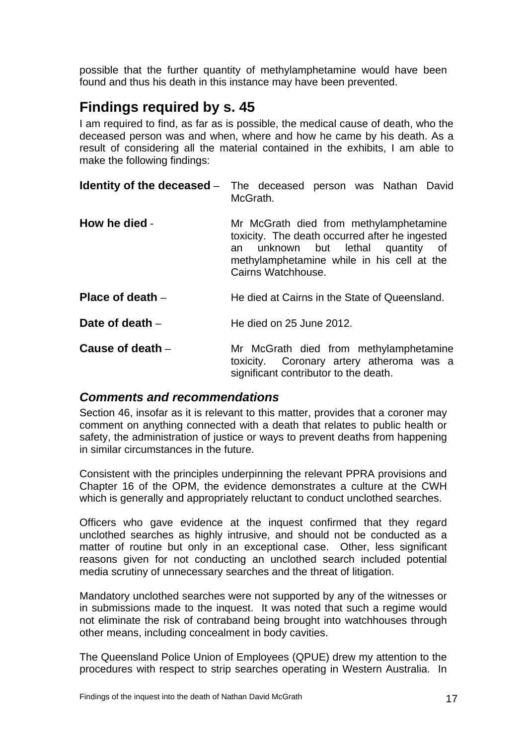possible that the further quantity of methylamphetamine would have been found and thus his death in this instance may have been prevented.

## **Findings required by s. 45**

I am required to find, as far as is possible, the medical cause of death, who the deceased person was and when, where and how he came by his death. As a result of considering all the material contained in the exhibits, I am able to make the following findings:

|                    | <b>Identity of the deceased</b> - The deceased person was Nathan David<br>McGrath.                                                                                                                |
|--------------------|---------------------------------------------------------------------------------------------------------------------------------------------------------------------------------------------------|
| How he died -      | Mr McGrath died from methylamphetamine<br>toxicity. The death occurred after he ingested<br>an unknown but lethal quantity of<br>methylamphetamine while in his cell at the<br>Cairns Watchhouse. |
| Place of death $-$ | He died at Cairns in the State of Queensland.                                                                                                                                                     |
| Date of death $-$  | He died on 25 June 2012.                                                                                                                                                                          |
| Cause of death $-$ | Mr McGrath died from methylamphetamine<br>toxicity. Coronary artery atheroma was a<br>significant contributor to the death.                                                                       |

#### *Comments and recommendations*

Section 46, insofar as it is relevant to this matter, provides that a coroner may comment on anything connected with a death that relates to public health or safety, the administration of justice or ways to prevent deaths from happening in similar circumstances in the future.

Consistent with the principles underpinning the relevant PPRA provisions and Chapter 16 of the OPM, the evidence demonstrates a culture at the CWH which is generally and appropriately reluctant to conduct unclothed searches.

Officers who gave evidence at the inquest confirmed that they regard unclothed searches as highly intrusive, and should not be conducted as a matter of routine but only in an exceptional case. Other, less significant reasons given for not conducting an unclothed search included potential media scrutiny of unnecessary searches and the threat of litigation.

Mandatory unclothed searches were not supported by any of the witnesses or in submissions made to the inquest. It was noted that such a regime would not eliminate the risk of contraband being brought into watchhouses through other means, including concealment in body cavities.

The Queensland Police Union of Employees (QPUE) drew my attention to the procedures with respect to strip searches operating in Western Australia. In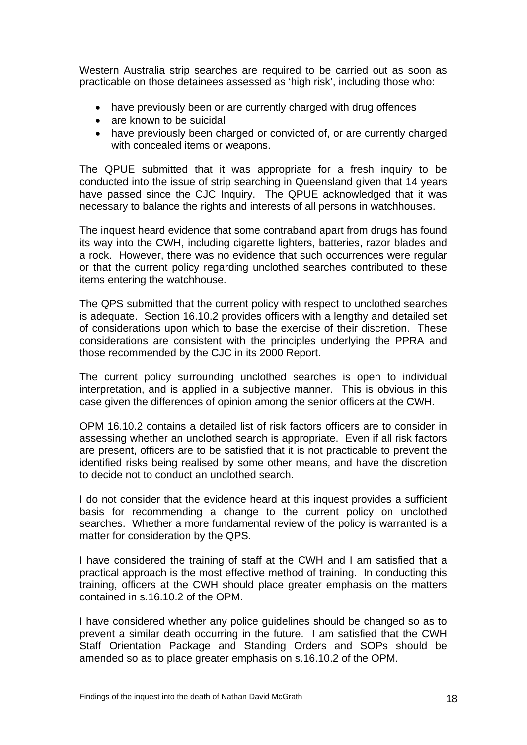Western Australia strip searches are required to be carried out as soon as practicable on those detainees assessed as 'high risk', including those who:

- have previously been or are currently charged with drug offences
- are known to be suicidal
- have previously been charged or convicted of, or are currently charged with concealed items or weapons.

The QPUE submitted that it was appropriate for a fresh inquiry to be conducted into the issue of strip searching in Queensland given that 14 years have passed since the CJC Inquiry. The QPUE acknowledged that it was necessary to balance the rights and interests of all persons in watchhouses.

The inquest heard evidence that some contraband apart from drugs has found its way into the CWH, including cigarette lighters, batteries, razor blades and a rock. However, there was no evidence that such occurrences were regular or that the current policy regarding unclothed searches contributed to these items entering the watchhouse.

The QPS submitted that the current policy with respect to unclothed searches is adequate. Section 16.10.2 provides officers with a lengthy and detailed set of considerations upon which to base the exercise of their discretion. These considerations are consistent with the principles underlying the PPRA and those recommended by the CJC in its 2000 Report.

The current policy surrounding unclothed searches is open to individual interpretation, and is applied in a subjective manner. This is obvious in this case given the differences of opinion among the senior officers at the CWH.

OPM 16.10.2 contains a detailed list of risk factors officers are to consider in assessing whether an unclothed search is appropriate. Even if all risk factors are present, officers are to be satisfied that it is not practicable to prevent the identified risks being realised by some other means, and have the discretion to decide not to conduct an unclothed search.

I do not consider that the evidence heard at this inquest provides a sufficient basis for recommending a change to the current policy on unclothed searches. Whether a more fundamental review of the policy is warranted is a matter for consideration by the QPS.

I have considered the training of staff at the CWH and I am satisfied that a practical approach is the most effective method of training. In conducting this training, officers at the CWH should place greater emphasis on the matters contained in s.16.10.2 of the OPM.

I have considered whether any police guidelines should be changed so as to prevent a similar death occurring in the future. I am satisfied that the CWH Staff Orientation Package and Standing Orders and SOPs should be amended so as to place greater emphasis on s.16.10.2 of the OPM.